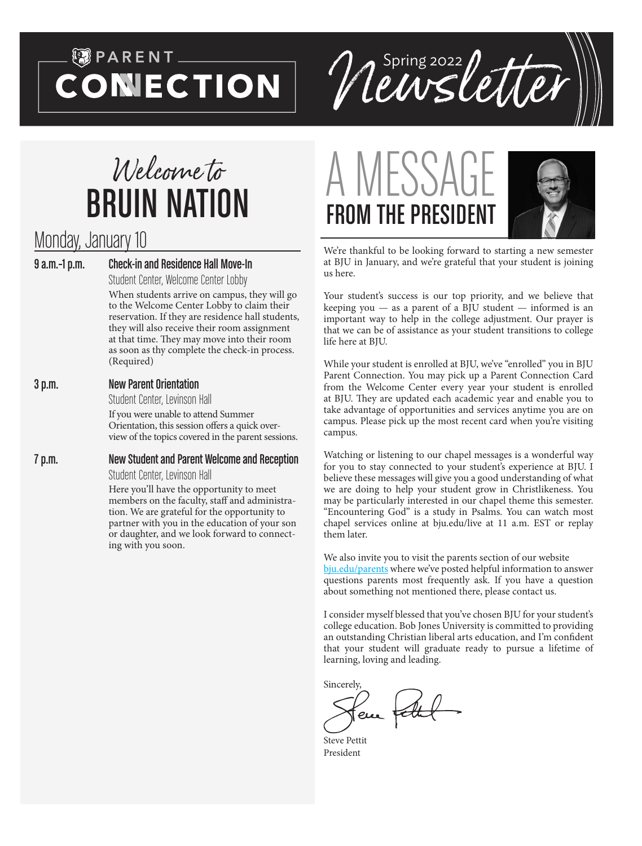# $\begin{matrix} \circledast \circledast$  PARENT  $\_$ **CONECTION**



# Welcome to BRUIN NATION

# Monday, January 10

9 a.m.–1 p.m. Check-in and Residence Hall Move-In

Student Center, Welcome Center Lobby

When students arrive on campus, they will go to the Welcome Center Lobby to claim their reservation. If they are residence hall students, they will also receive their room assignment at that time. They may move into their room as soon as thy complete the check-in process. (Required)

#### 3 p.m. New Parent Orientation

Student Center, Levinson Hall

If you were unable to attend Summer Orientation, this session offers a quick overview of the topics covered in the parent sessions.

7 p.m. New Student and Parent Welcome and Reception Student Center, Levinson Hall

Here you'll have the opportunity to meet members on the faculty, staff and administration. We are grateful for the opportunity to partner with you in the education of your son or daughter, and we look forward to connecting with you soon.





We're thankful to be looking forward to starting a new semester at BJU in January, and we're grateful that your student is joining us here.

Your student's success is our top priority, and we believe that keeping you  $-$  as a parent of a BJU student  $-$  informed is an important way to help in the college adjustment. Our prayer is that we can be of assistance as your student transitions to college life here at BJU.

While your student is enrolled at BJU, we've "enrolled" you in BJU Parent Connection. You may pick up a Parent Connection Card from the Welcome Center every year your student is enrolled at BJU. They are updated each academic year and enable you to take advantage of opportunities and services anytime you are on campus. Please pick up the most recent card when you're visiting campus.

Watching or listening to our chapel messages is a wonderful way for you to stay connected to your student's experience at BJU. I believe these messages will give you a good understanding of what we are doing to help your student grow in Christlikeness. You may be particularly interested in our chapel theme this semester. "Encountering God" is a study in Psalms. You can watch most chapel services online at bju.edu/live at 11 a.m. EST or replay them later.

We also invite you to visit the parents section of our website [bju.edu/parents](http://bju.edu/parents) where we've posted helpful information to answer questions parents most frequently ask. If you have a question about something not mentioned there, please contact us.

I consider myself blessed that you've chosen BJU for your student's college education. Bob Jones University is committed to providing an outstanding Christian liberal arts education, and I'm confident that your student will graduate ready to pursue a lifetime of learning, loving and leading.

Sincerely,

eue

Steve Pettit President